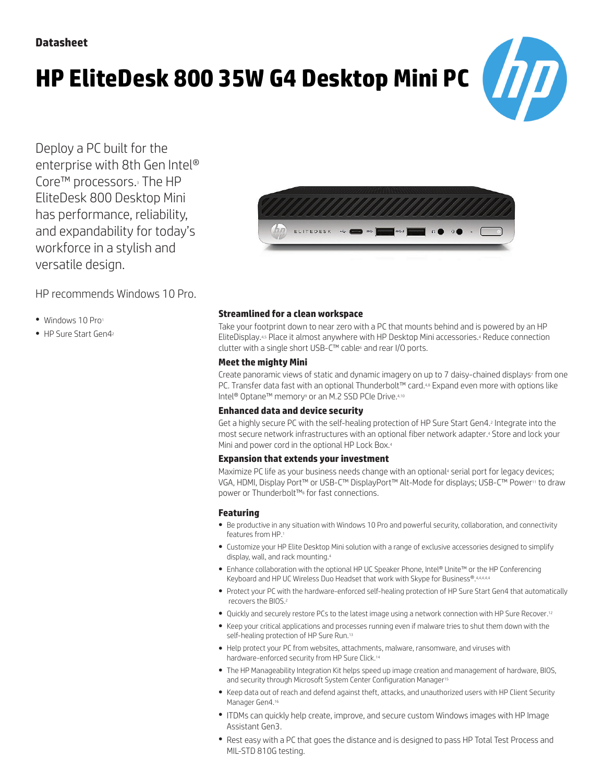# **HP EliteDesk 800 35W G4 Desktop Mini PC**



Deploy a PC built for the enterprise with 8th Gen Intel® Core™ processors.3 The HP EliteDesk 800 Desktop Mini has performance, reliability, and expandability for today's workforce in a stylish and versatile design.

HP recommends Windows 10 Pro.

- Windows 10 Pro1
- HP Sure Start Gen42



# **Streamlined for a clean workspace**

Take your footprint down to near zero with a PC that mounts behind and is powered by an HP EliteDisplay.4,5 Place it almost anywhere with HP Desktop Mini accessories.4 Reduce connection clutter with a single short USB-C™ cable<sup>6</sup> and rear I/O ports.

# **Meetthe mighty Mini**

Create panoramic views of static and dynamic imagery on up to 7 daisy-chained displays<sup>7</sup> from one PC. Transfer data fast with an optional Thunderbolt™ card.4,8 Expand even more with options like Intel<sup>®</sup> Optane™ memory<sup>9</sup> or an M.2 SSD PCIe Drive.4,10

# **Enhanced data and device security**

Get a highly secure PC with the self-healing protection of HP Sure Start Gen4.2 Integrate into the most secure network infrastructures with an optional fiber network adapter.4 Store and lock your Mini and power cord in the optional HP Lock Box.<sup>4</sup>

# **Expansion that extends yourinvestment**

Maximize PC life as your business needs change with an optional<sup>4</sup> serial port for legacy devices; VGA, HDMI, Display Port™ or USB-C™ DisplayPort™ Alt-Mode for displays; USB-C™ Power11 to draw power or Thunderbolt™<sup>8</sup> for fast connections.

# **Featuring**

- Be productive in any situation with Windows 10 Pro and powerful security, collaboration, and connectivity features from HP.1
- Customize your HP Elite Desktop Mini solution with a range of exclusive accessories designed to simplify display, wall, and rack mounting.4
- Enhance collaboration with the optional HP UC Speaker Phone, Intel® Unite™ or the HP Conferencing Keyboard and HP UC Wireless Duo Headset that work with Skype for Business®.4,4,4,4,4
- Protect your PC with the hardware-enforced self-healing protection of HP Sure Start Gen4 that automatically recovers the BIOS.2
- Quickly and securely restore PCs to the latest image using a network connection with HP Sure Recover.12
- Keep your critical applications and processes running even if malware tries to shut them down with the self-healing protection of HP Sure Run.<sup>13</sup>
- Help protect your PC from websites, attachments, malware, ransomware, and viruses with hardware-enforced security from HP Sure Click.<sup>14</sup>
- The HP Manageability Integration Kit helps speed up image creation and management of hardware, BIOS, and security through Microsoft System Center Configuration Manager<sup>15</sup>
- Keep data out of reach and defend against theft, attacks, and unauthorized users with HP Client Security Manager Gen4.<sup>16</sup>
- ITDMs can quickly help create, improve, and secure custom Windows images with HP Image Assistant Gen3.
- Rest easy with a PC that goes the distance and is designed to pass HP Total Test Process and MIL-STD 810G testing.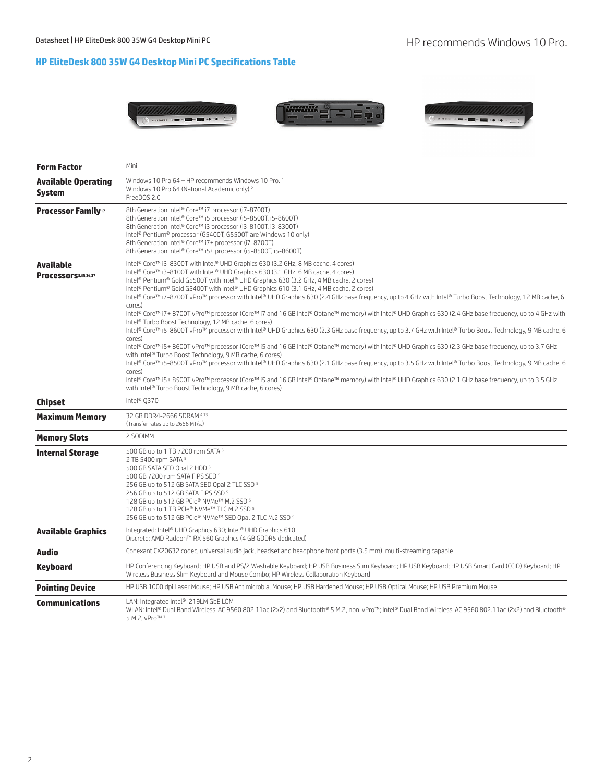# **HP EliteDesk 800 35W G4 Desktop Mini PC Specifications Table**



| <b>Form Factor</b>                          | Mini                                                                                                                                                                                                                                                                                                                                                                                                                                                                                                                                                                                                                                                                                                                                                                                                                                                                                                                                                                                                                                                                                                                                                                                                                                                                                                                                                                                                                                                                                                                                                            |  |  |
|---------------------------------------------|-----------------------------------------------------------------------------------------------------------------------------------------------------------------------------------------------------------------------------------------------------------------------------------------------------------------------------------------------------------------------------------------------------------------------------------------------------------------------------------------------------------------------------------------------------------------------------------------------------------------------------------------------------------------------------------------------------------------------------------------------------------------------------------------------------------------------------------------------------------------------------------------------------------------------------------------------------------------------------------------------------------------------------------------------------------------------------------------------------------------------------------------------------------------------------------------------------------------------------------------------------------------------------------------------------------------------------------------------------------------------------------------------------------------------------------------------------------------------------------------------------------------------------------------------------------------|--|--|
| <b>Available Operating</b><br><b>System</b> | Windows 10 Pro 64 - HP recommends Windows 10 Pro. 1<br>Windows 10 Pro 64 (National Academic only) 2<br>FreeDOS 2.0                                                                                                                                                                                                                                                                                                                                                                                                                                                                                                                                                                                                                                                                                                                                                                                                                                                                                                                                                                                                                                                                                                                                                                                                                                                                                                                                                                                                                                              |  |  |
| <b>Processor Family</b> <sup>17</sup>       | 8th Generation Intel® Core™ i7 processor (i7-8700T)<br>8th Generation Intel® Core™ i5 processor (i5-8500T, i5-8600T)<br>8th Generation Intel® Core™ i3 processor (i3-8100T, i3-8300T)<br>Intel® Pentium® processor (G5400T, G5500T are Windows 10 only)<br>8th Generation Intel® Core™ i7+ processor (i7-8700T)<br>8th Generation Intel® Core™ i5+ processor (i5-8500T, i5-8600T)                                                                                                                                                                                                                                                                                                                                                                                                                                                                                                                                                                                                                                                                                                                                                                                                                                                                                                                                                                                                                                                                                                                                                                               |  |  |
| Available<br>Processors3,35,36,37           | Intel® Core™ i3-8300T with Intel® UHD Graphics 630 (3.2 GHz, 8 MB cache, 4 cores)<br>Intel® Core™ i3-8100T with Intel® UHD Graphics 630 (3.1 GHz, 6 MB cache, 4 cores)<br>Intel® Pentium® Gold G5500T with Intel® UHD Graphics 630 (3.2 GHz, 4 MB cache, 2 cores)<br>Intel® Pentium® Gold G5400T with Intel® UHD Graphics 610 (3.1 GHz, 4 MB cache, 2 cores)<br>Intel® Core™ i7-8700T vPro™ processor with Intel® UHD Graphics 630 (2.4 GHz base frequency, up to 4 GHz with Intel® Turbo Boost Technology, 12 MB cache, 6<br>cores)<br>Intel® Core™ i7+ 8700T vPro™ processor (Core™ i7 and 16 GB Intel® Optane™ memory) with Intel® UHD Graphics 630 (2.4 GHz base frequency, up to 4 GHz with<br>Intel <sup>®</sup> Turbo Boost Technology, 12 MB cache, 6 cores)<br>Intel® Core™ i5-8600T vPro™ processor with Intel® UHD Graphics 630 (2.3 GHz base frequency, up to 3.7 GHz with Intel® Turbo Boost Technology, 9 MB cache, 6<br>cores)<br>Intel® Core™ i5+8600T vPro™ processor (Core™ i5 and 16 GB Intel® Optane™ memory) with Intel® UHD Graphics 630 (2.3 GHz base frequency, up to 3.7 GHz<br>with Intel® Turbo Boost Technology, 9 MB cache, 6 cores)<br>Intel® Core™ i5-8500T vPro™ processor with Intel® UHD Graphics 630 (2.1 GHz base frequency, up to 3.5 GHz with Intel® Turbo Boost Technology, 9 MB cache, 6<br>cores)<br>Intel® Core™ i5+ 8500T vPro™ processor (Core™ i5 and 16 GB Intel® Optane™ memory) with Intel® UHD Graphics 630 (2.1 GHz base frequency, up to 3.5 GHz<br>with Intel® Turbo Boost Technology, 9 MB cache, 6 cores) |  |  |
| <b>Chipset</b>                              | Intel® Q370                                                                                                                                                                                                                                                                                                                                                                                                                                                                                                                                                                                                                                                                                                                                                                                                                                                                                                                                                                                                                                                                                                                                                                                                                                                                                                                                                                                                                                                                                                                                                     |  |  |
| <b>Maximum Memory</b>                       | 32 GB DDR4-2666 SDRAM 4,13<br>(Transfer rates up to 2666 MT/s.)                                                                                                                                                                                                                                                                                                                                                                                                                                                                                                                                                                                                                                                                                                                                                                                                                                                                                                                                                                                                                                                                                                                                                                                                                                                                                                                                                                                                                                                                                                 |  |  |
| <b>Memory Slots</b>                         | 2 SODIMM                                                                                                                                                                                                                                                                                                                                                                                                                                                                                                                                                                                                                                                                                                                                                                                                                                                                                                                                                                                                                                                                                                                                                                                                                                                                                                                                                                                                                                                                                                                                                        |  |  |
| <b>Internal Storage</b>                     | 500 GB up to 1 TB 7200 rpm SATA 5<br>2 TB 5400 rpm SATA 5<br>500 GB SATA SED Opal 2 HDD 5<br>500 GB 7200 rpm SATA FIPS SED 5<br>256 GB up to 512 GB SATA SED Opal 2 TLC SSD 5<br>256 GB up to 512 GB SATA FIPS SSD 5<br>128 GB up to 512 GB PCIe® NVMe™ M.2 SSD 5<br>128 GB up to 1 TB PCIe® NVMe™ TLC M.2 SSD 5<br>256 GB up to 512 GB PCIe® NVMe™ SED Opal 2 TLC M.2 SSD 5                                                                                                                                                                                                                                                                                                                                                                                                                                                                                                                                                                                                                                                                                                                                                                                                                                                                                                                                                                                                                                                                                                                                                                                    |  |  |
| <b>Available Graphics</b>                   | Integrated: Intel® UHD Graphics 630; Intel® UHD Graphics 610<br>Discrete: AMD Radeon™ RX 560 Graphics (4 GB GDDR5 dedicated)                                                                                                                                                                                                                                                                                                                                                                                                                                                                                                                                                                                                                                                                                                                                                                                                                                                                                                                                                                                                                                                                                                                                                                                                                                                                                                                                                                                                                                    |  |  |
| Audio                                       | Conexant CX20632 codec, universal audio jack, headset and headphone front ports (3.5 mm), multi-streaming capable                                                                                                                                                                                                                                                                                                                                                                                                                                                                                                                                                                                                                                                                                                                                                                                                                                                                                                                                                                                                                                                                                                                                                                                                                                                                                                                                                                                                                                               |  |  |
| <b>Keyboard</b>                             | HP Conferencing Keyboard; HP USB and PS/2 Washable Keyboard; HP USB Business Slim Keyboard; HP USB Keyboard; HP USB Smart Card (CCID) Keyboard; HP<br>Wireless Business Slim Keyboard and Mouse Combo; HP Wireless Collaboration Keyboard                                                                                                                                                                                                                                                                                                                                                                                                                                                                                                                                                                                                                                                                                                                                                                                                                                                                                                                                                                                                                                                                                                                                                                                                                                                                                                                       |  |  |
| <b>Pointing Device</b>                      | HP USB 1000 dpi Laser Mouse; HP USB Antimicrobial Mouse; HP USB Hardened Mouse; HP USB Optical Mouse; HP USB Premium Mouse                                                                                                                                                                                                                                                                                                                                                                                                                                                                                                                                                                                                                                                                                                                                                                                                                                                                                                                                                                                                                                                                                                                                                                                                                                                                                                                                                                                                                                      |  |  |
| <b>Communications</b>                       | LAN: Integrated Intel® I219LM GbE LOM<br>WLAN: Intel® Dual Band Wireless-AC 9560 802.11ac (2x2) and Bluetooth® 5 M.2, non-vPro™; Intel® Dual Band Wireless-AC 9560 802.11ac (2x2) and Bluetooth®<br>5 M.2, vPro™ 7                                                                                                                                                                                                                                                                                                                                                                                                                                                                                                                                                                                                                                                                                                                                                                                                                                                                                                                                                                                                                                                                                                                                                                                                                                                                                                                                              |  |  |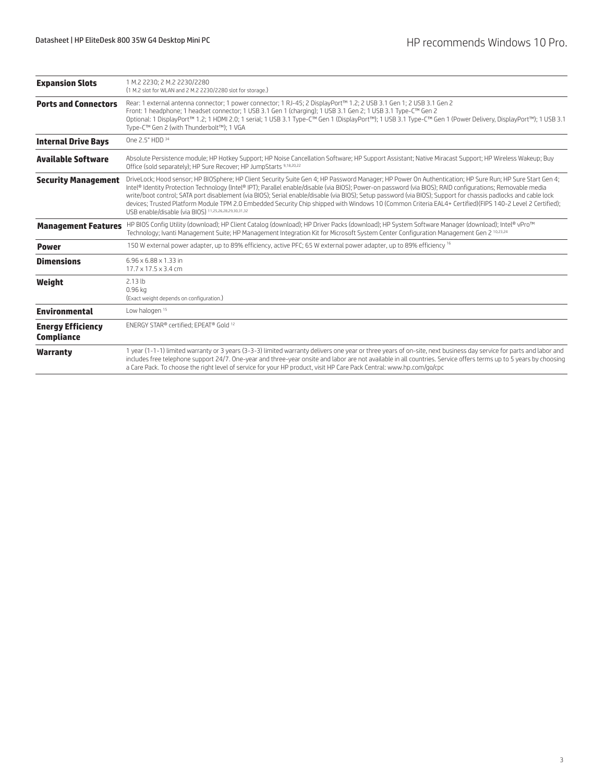| <b>Expansion Slots</b>                        | 1 M.2 2230; 2 M.2 2230/2280<br>(1 M.2 slot for WLAN and 2 M.2 2230/2280 slot for storage.)                                                                                                                                                                                                                                                                                                                                                                                                                                                                                                                                                                                                                    |  |  |
|-----------------------------------------------|---------------------------------------------------------------------------------------------------------------------------------------------------------------------------------------------------------------------------------------------------------------------------------------------------------------------------------------------------------------------------------------------------------------------------------------------------------------------------------------------------------------------------------------------------------------------------------------------------------------------------------------------------------------------------------------------------------------|--|--|
| <b>Ports and Connectors</b>                   | Rear: 1 external antenna connector; 1 power connector; 1 RJ-45; 2 DisplayPort™ 1.2; 2 USB 3.1 Gen 1; 2 USB 3.1 Gen 2<br>Front: 1 headphone; 1 headset connector; 1 USB 3.1 Gen 1 (charging); 1 USB 3.1 Gen 2; 1 USB 3.1 Type-C™ Gen 2<br>Optional: 1 DisplayPort™ 1.2; 1 HDMI 2.0; 1 serial; 1 USB 3.1 Type-C™ Gen 1 (DisplayPort™); 1 USB 3.1 Type-C™ Gen 1 (Power Delivery, DisplayPort™); 1 USB 3.1<br>Type-C™ Gen 2 (with Thunderbolt™); 1 VGA                                                                                                                                                                                                                                                            |  |  |
| <b>Internal Drive Bays</b>                    | One 2.5" HDD 34                                                                                                                                                                                                                                                                                                                                                                                                                                                                                                                                                                                                                                                                                               |  |  |
| <b>Available Software</b>                     | Absolute Persistence module; HP Hotkey Support; HP Noise Cancellation Software; HP Support Assistant; Native Miracast Support; HP Wireless Wakeup; Buy<br>Office (sold separately): HP Sure Recover: HP JumpStarts 9,18,20,22                                                                                                                                                                                                                                                                                                                                                                                                                                                                                 |  |  |
| <b>Security Management</b>                    | DriveLock; Hood sensor; HP BIOSphere; HP Client Security Suite Gen 4; HP Password Manager; HP Power On Authentication; HP Sure Run; HP Sure Start Gen 4;<br>Intel® Identity Protection Technology (Intel® IPT); Parallel enable/disable (via BIOS); Power-on password (via BIOS); RAID configurations; Removable media<br>write/boot control; SATA port disablement (via BIOS); Serial enable/disable (via BIOS); Setup password (via BIOS); Support for chassis padlocks and cable lock<br>devices; Trusted Platform Module TPM 2.0 Embedded Security Chip shipped with Windows 10 (Common Criteria EAL4+ Certified)(FIPS 140-2 Level 2 Certified);<br>USB enable/disable (via BIOS) 11,25,26,28,29,30,31,32 |  |  |
| <b>Management Features</b>                    | HP BIOS Config Utility (download); HP Client Catalog (download); HP Driver Packs (download); HP System Software Manager (download); Intel® vPro™<br>Technology; Ivanti Management Suite; HP Management Integration Kit for Microsoft System Center Configuration Management Gen 2 10,23,24                                                                                                                                                                                                                                                                                                                                                                                                                    |  |  |
| <b>Power</b>                                  | 150 W external power adapter, up to 89% efficiency, active PFC; 65 W external power adapter, up to 89% efficiency 16                                                                                                                                                                                                                                                                                                                                                                                                                                                                                                                                                                                          |  |  |
| <b>Dimensions</b>                             | $6.96 \times 6.88 \times 1.33$ in<br>$17.7 \times 17.5 \times 3.4$ cm                                                                                                                                                                                                                                                                                                                                                                                                                                                                                                                                                                                                                                         |  |  |
| Weight                                        | 2.13 <sub>lb</sub><br>$0.96$ ka<br>(Exact weight depends on configuration.)                                                                                                                                                                                                                                                                                                                                                                                                                                                                                                                                                                                                                                   |  |  |
| <b>Environmental</b>                          | Low halogen 15                                                                                                                                                                                                                                                                                                                                                                                                                                                                                                                                                                                                                                                                                                |  |  |
| <b>Energy Efficiency</b><br><b>Compliance</b> | ENERGY STAR® certified; EPEAT® Gold 12                                                                                                                                                                                                                                                                                                                                                                                                                                                                                                                                                                                                                                                                        |  |  |
| <b>Warranty</b>                               | 1 year (1-1-1) limited warranty or 3 years (3-3-3) limited warranty delivers one year or three years of on-site, next business day service for parts and labor and<br>includes free telephone support 24/7. One-year and three-year onsite and labor are not available in all countries. Service offers terms up to 5 years by choosing<br>a Care Pack. To choose the right level of service for your HP product, visit HP Care Pack Central: www.hp.com/go/cpc                                                                                                                                                                                                                                               |  |  |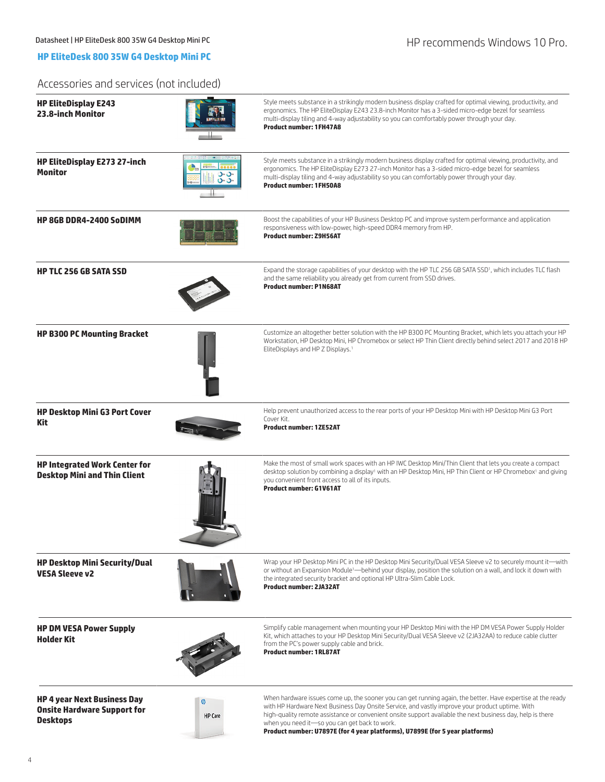## **HP EliteDesk 800 35W G4 Desktop Mini PC**

## Accessories and services (not included)